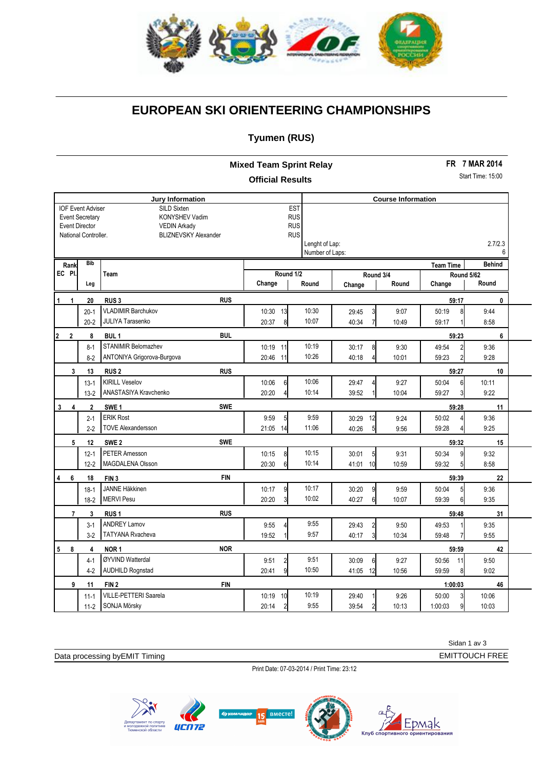

# **EUROPEAN SKI ORIENTEERING CHAMPIONSHIPS**

### **Tyumen (RUS)**

**Mixed Team Sprint Relay Official Results**

**FR 7 MAR 2014**

#### Start Time: 15:00

| Jury Information                                |                          |                                |                                 |                 | <b>Course Information</b>        |       |                         |               |  |  |
|-------------------------------------------------|--------------------------|--------------------------------|---------------------------------|-----------------|----------------------------------|-------|-------------------------|---------------|--|--|
|                                                 | <b>IOF Event Adviser</b> | SILD Sixten                    | <b>EST</b>                      |                 |                                  |       |                         |               |  |  |
| <b>Event Secretary</b><br><b>KONYSHEV Vadim</b> |                          |                                | <b>RUS</b>                      |                 |                                  |       |                         |               |  |  |
| <b>Event Director</b><br><b>VEDIN Arkady</b>    |                          |                                | <b>RUS</b>                      |                 |                                  |       |                         |               |  |  |
|                                                 | National Controller.     | <b>BLIZNEVSKY Alexander</b>    | <b>RUS</b>                      |                 |                                  |       |                         |               |  |  |
|                                                 |                          |                                |                                 | Lenght of Lap:  |                                  |       |                         | 2.7/2.3       |  |  |
|                                                 |                          |                                |                                 | Number of Laps: |                                  |       |                         | 6             |  |  |
| Rank                                            | <b>Bib</b>               |                                | <b>Team Time</b>                |                 |                                  |       |                         | <b>Behind</b> |  |  |
| EC PI.<br>Team                                  |                          |                                | Round 1/2<br>Round 3/4          |                 |                                  |       |                         | Round 5/62    |  |  |
|                                                 | Leg                      |                                | Change                          | Round           | Change                           | Round | Change                  | Round         |  |  |
| 1<br>1                                          | 20                       | <b>RUS</b><br>RUS <sub>3</sub> |                                 |                 |                                  |       | 59:17                   | 0             |  |  |
|                                                 | $20-1$                   | <b>VLADIMIR Barchukov</b>      | 10:30<br>13                     | 10:30           | 29:45<br>3                       | 9:07  | 50:19<br>8              | 9:44          |  |  |
|                                                 | $20 - 2$                 | JULIYA Tarasenko               | 20:37<br>8 <sup>1</sup>         | 10:07           | 40:34<br>$\overline{7}$          | 10:49 | 59:17                   | 8:58          |  |  |
| $\overline{2}$<br>$\overline{2}$                | 8                        | <b>BUL</b><br>BUL <sub>1</sub> |                                 |                 |                                  |       | 59:23                   | 6             |  |  |
|                                                 | $8 - 1$                  | <b>STANIMIR Belomazhev</b>     | 10:19 11                        | 10:19           | 30:17<br>8                       | 9:30  | 49:54<br>$\overline{2}$ | 9:36          |  |  |
|                                                 | $8 - 2$                  | ANTONIYA Grigorova-Burgova     | 20:46<br>11                     | 10:26           | 40:18                            | 10:01 | 59:23<br>$\overline{2}$ | 9:28          |  |  |
| 3                                               | 13                       | <b>RUS</b><br><b>RUS2</b>      |                                 |                 |                                  |       | 59:27                   | 10            |  |  |
|                                                 | $13-1$                   | <b>KIRILL Veselov</b>          | 10:06<br>6                      | 10:06           | 29:47                            | 9:27  | 50:04<br>6              | 10:11         |  |  |
|                                                 | $13 - 2$                 | ANASTASIYA Kravchenko          | 20:20                           | 10:14           | 39:52                            | 10:04 | 59:27<br>3              | 9:22          |  |  |
| 3<br>$\overline{4}$                             | $\mathbf 2$              | <b>SWE</b><br>SWE <sub>1</sub> |                                 |                 |                                  |       | 59:28                   | 11            |  |  |
|                                                 | $2 - 1$                  | <b>ERIK Rost</b>               | 9:59<br>5                       | 9:59            | 12<br>30:29                      | 9:24  | 50:02                   | 9:36          |  |  |
|                                                 | $2-2$                    | <b>TOVE Alexandersson</b>      | 21:05<br>14                     | 11:06           | 40:26<br>5                       | 9:56  | 59:28                   | 9:25          |  |  |
| 5                                               | 12                       | <b>SWE</b><br>SWE <sub>2</sub> |                                 |                 |                                  |       | 59:32                   | 15            |  |  |
|                                                 | $12 - 1$                 | <b>PETER Amesson</b>           | 10:15<br>8                      | 10:15           | 30:01<br>5 <sub>l</sub>          | 9:31  | 50:34<br>9              | 9:32          |  |  |
|                                                 | $12 - 2$                 | MAGDALENA Olsson               | 20:30<br>6                      | 10:14           | 41:01<br>10 <sup>1</sup>         | 10:59 | 59:32<br>5              | 8:58          |  |  |
| 6<br>4                                          | 18                       | <b>FIN</b><br>FIN <sub>3</sub> |                                 |                 |                                  |       | 59:39                   | 22            |  |  |
|                                                 | $18-1$                   | <b>JANNE Häkkinen</b>          | 10:17<br>9                      | 10:17           | 30:20<br>9l                      | 9:59  | 50:04<br>5 <sup>1</sup> | 9:36          |  |  |
|                                                 | $18-2$                   | <b>MERVI Pesu</b>              | 20:20<br>3                      | 10:02           | 40:27<br>6I                      | 10:07 | 59:39<br>6              | 9:35          |  |  |
| $\overline{7}$                                  | 3                        | <b>RUS</b><br>RUS <sub>1</sub> |                                 |                 |                                  |       | 59:48                   | 31            |  |  |
|                                                 | $3-1$                    | <b>ANDREY Lamov</b>            | 9:55                            | 9:55            | 29:43<br>$\overline{2}$          | 9:50  | 49:53                   | 9:35          |  |  |
|                                                 | $3-2$                    | <b>TATYANA Rvacheva</b>        | 19:52                           | 9:57            | $\overline{\mathbf{3}}$<br>40:17 | 10:34 | 59:48                   | 9:55          |  |  |
| 5<br>8                                          | 4                        | <b>NOR</b><br>NOR <sub>1</sub> |                                 |                 |                                  |       | 59:59                   | 42            |  |  |
|                                                 | $4-1$                    | ØYVIND Watterdal               | 9:51<br>$\overline{\mathbf{c}}$ | 9:51            | 30:09<br>6                       | 9:27  | 50:56<br>11             | 9:50          |  |  |
|                                                 | $4-2$                    | <b>AUDHILD Rognstad</b>        | 20:41<br>9                      | 10:50           | 12<br>41:05                      | 10:56 | 59:59<br>8              | 9:02          |  |  |
| 9                                               | 11                       | <b>FIN</b><br>FIN <sub>2</sub> |                                 |                 |                                  |       | 1:00:03                 | 46            |  |  |
|                                                 | $11 - 1$                 | <b>VILLE-PETTERI Saarela</b>   | 10:19<br>10                     | 10:19           | 29:40                            | 9:26  | 50:00<br>$\overline{3}$ | 10:06         |  |  |
|                                                 | $11-2$                   | SONJA Mörsky                   | 20:14<br>2                      | 9:55            | 39:54                            | 10:13 | 9<br>1:00:03            | 10:03         |  |  |

Sidan 1 av 3 EMITTOUCH FREE

Timing

Data processing byEMIT Timing

Print Date: 07-03-2014 / Print Time: 23:12





6N

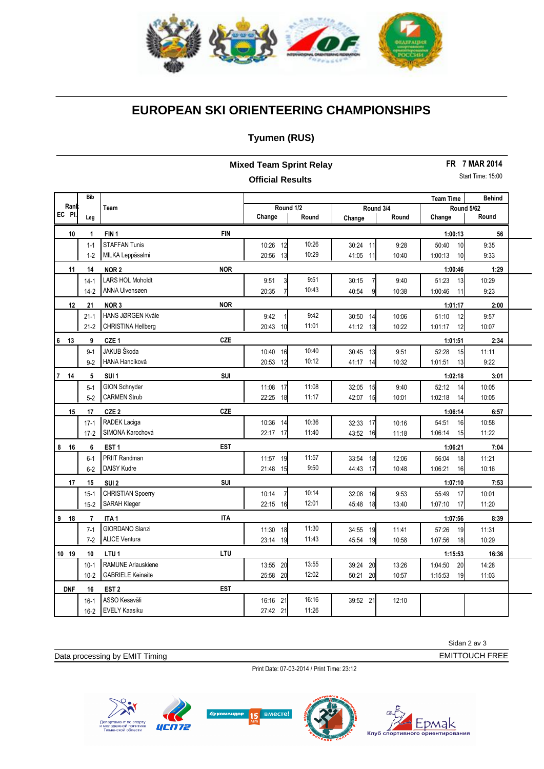

# **EUROPEAN SKI ORIENTEERING CHAMPIONSHIPS**

#### **Tyumen (RUS)**

| <b>Mixed Team Sprint Relay</b> |                |                           |            |                         |       |                         | <b>FR 7 MAR 2014</b> |                  |                   |
|--------------------------------|----------------|---------------------------|------------|-------------------------|-------|-------------------------|----------------------|------------------|-------------------|
|                                |                |                           |            | <b>Official Results</b> |       |                         |                      |                  | Start Time: 15:00 |
|                                | <b>Bib</b>     |                           |            |                         |       |                         |                      | <b>Team Time</b> | <b>Behind</b>     |
| Ranl                           |                | Team                      |            | Round 1/2               |       | Round 3/4               |                      | Round 5/62       |                   |
| EC PI.                         | Leg            |                           |            | Change                  | Round | Change                  | Round                | Change           | Round             |
| 10                             | $\mathbf{1}$   | FIN <sub>1</sub>          | <b>FIN</b> |                         |       |                         |                      | 1:00:13          | 56                |
|                                | $1 - 1$        | <b>STAFFAN Tunis</b>      |            | 10:26<br>12             | 10:26 | 30:24<br>11             | 9:28                 | 50:40<br>10      | 9:35              |
|                                | $1 - 2$        | MILKA Leppäsalmi          |            | 13<br>20:56             | 10:29 | 11<br>41:05             | 10:40                | 1:00:13<br>10    | 9:33              |
| 11                             | 14             | NOR <sub>2</sub>          | <b>NOR</b> |                         |       |                         |                      | 1:00:46          | 1:29              |
|                                | $14-1$         | <b>LARS HOL Moholdt</b>   |            | 9:51<br>3               | 9:51  | 30:15<br>$\overline{7}$ | 9:40                 | 51:23<br>13      | 10:29             |
|                                | $14-2$         | ANNA Ulvensøen            |            | 20:35<br>7              | 10:43 | 9<br>40:54              | 10:38                | 1:00:46<br>11    | 9:23              |
| 12                             | 21             | NOR <sub>3</sub>          | <b>NOR</b> |                         |       |                         |                      | 1:01:17          | 2:00              |
|                                | $21-1$         | HANS JØRGEN Kvåle         |            | 9:42                    | 9:42  | 30:50<br>14             | 10:06                | 12<br>51:10      | 9:57              |
|                                | $21-2$         | CHRISTINA Hellberg        |            | 20:43<br>10             | 11:01 | 41:12<br>13             | 10:22                | 12<br>1:01:17    | 10:07             |
| 6 <sub>13</sub>                | 9              | CZE <sub>1</sub>          | <b>CZE</b> |                         |       |                         |                      | 1:01:51          | 2:34              |
|                                | $9 - 1$        | JAKUB Škoda               |            | 10:40<br>16             | 10:40 | 30:45<br>13             | 9:51                 | 52:28<br>15      | 11:11             |
|                                | $9 - 2$        | HANA Hancíková            |            | 20:53<br>12             | 10:12 | 41:17<br>14             | 10:32                | 1:01:51<br>13    | 9:22              |
| $\overline{7}$<br>14           | 5              | SUI <sub>1</sub>          | SUI        |                         |       |                         |                      | 1:02:18          | 3:01              |
|                                | $5-1$          | <b>GION Schnyder</b>      |            | 11:08<br>17             | 11:08 | 32:05<br>15             | 9:40                 | 52:12<br>14      | 10:05             |
|                                | $5-2$          | <b>CARMEN Strub</b>       |            | 22:25<br>18             | 11:17 | 42:07<br>15             | 10:01                | 1:02:18<br>14    | 10:05             |
| 15                             | 17             | CZE <sub>2</sub>          | <b>CZE</b> |                         |       |                         |                      | 1:06:14          | 6:57              |
|                                | $17-1$         | RADEK Laciga              |            | 10:36<br>14             | 10:36 | 32:33<br>17             | 10:16                | 54:51<br>16      | 10:58             |
|                                | $17-2$         | SIMONA Karochová          |            | 17<br>22:17             | 11:40 | 43:52<br>16             | 11:18                | 15<br>1:06:14    | 11:22             |
| $8$ 16                         | 6              | EST <sub>1</sub>          | <b>EST</b> |                         |       |                         |                      | 1:06:21          | 7:04              |
|                                | $6 - 1$        | <b>PRIIT Randman</b>      |            | 19<br>11:57             | 11:57 | 18<br>33:54             | 12:06                | 18<br>56:04      | 11:21             |
|                                | $6-2$          | DAISY Kudre               |            | 21:48<br>15             | 9:50  | 17<br>44:43             | 10:48                | 1:06:21<br>16    | 10:16             |
| 17                             | 15             | SUI <sub>2</sub>          | <b>SUI</b> |                         |       |                         |                      | 1:07:10          | 7:53              |
|                                | $15-1$         | <b>CHRISTIAN Spoerry</b>  |            | $\overline{7}$<br>10:14 | 10:14 | 32:08<br>16             | 9:53                 | 55:49<br>17      | 10:01             |
|                                | $15-2$         | <b>SARAH Kleger</b>       |            | 22:15<br>16             | 12:01 | 45:48<br>18             | 13:40                | 1:07:10<br>17    | 11:20             |
| 9 18                           | $\overline{7}$ | ITA <sub>1</sub>          | <b>ITA</b> |                         |       |                         |                      | 1:07:56          | 8:39              |
|                                | $7 - 1$        | <b>GIORDANO Slanzi</b>    |            | 11:30<br>18             | 11:30 | 34:55<br>19             | 11:41                | 57:26<br>19      | 11:31             |
|                                | $7-2$          | <b>ALICE Ventura</b>      |            | 23:14<br>19             | 11:43 | 45:54<br>19             | 10:58                | 18<br>1:07:56    | 10:29             |
| 10 19                          | 10             | LTU <sub>1</sub>          | LTU        |                         |       |                         |                      | 1:15:53          | 16:36             |
|                                | $10-1$         | <b>RAMUNE Arlauskiene</b> |            | 13:55 20                | 13:55 | 20<br>39:24             | 13:26                | 1:04:50<br>20    | 14:28             |
|                                | $10 - 2$       | <b>GABRIELE Keinaite</b>  |            | 25:58<br>20             | 12:02 | 50:21<br>20             | 10:57                | 1:15:53<br>19    | 11:03             |
| <b>DNF</b>                     | 16             | EST <sub>2</sub>          | EST        |                         |       |                         |                      |                  |                   |
|                                | $16-1$         | ASSO Kesaväli             |            | 16:16 21                | 16:16 | 39:52 21                | 12:10                |                  |                   |
|                                | $16 - 2$       | <b>EVELY Kaasiku</b>      |            | 27:42 21                | 11:26 |                         |                      |                  |                   |

Sidan 2 av 3 EMITTOUCH FREE

Timing

Data processing by EMIT Timing

Print Date: 07-03-2014 / Print Time: 23:12